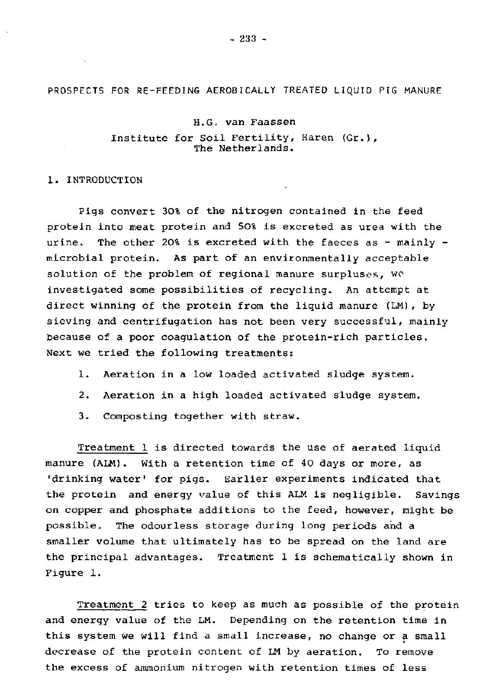PROSPECTS FOR RE-FEEDING AEROBICALLY TREATED LIQUID PIG MANURE

## H.G, van Faassen

Institute for Soil Fertility, Haren (Gr.), The Netherlands.

## 1. INTRODUCTION

Pigs convert 30% of the nitrogen contained in the feed protein into meat protein and 50% is excreted as urea with the urine. The other 20% is excreted with the faeces as - mainly microbial protein. As part of an environmentally acceptable solution of the problem of regional manure surpluses, we investigated some possibilities of recycling. An attempt at direct winning of the protein from the liquid manure (LM), by sieving and centrifugation has not been very successful, mainly because of a poor coagulation of the protein-rich particles. Next we tried the following treatments:

- 1. Aeration in a low loaded activated sludge system.
- 2. Aeration in a high loaded activated sludge system.
- 3. Composting together with straw.

Treatment 1 is directed towards the use of aerated liquid manure (ALM). With a retention time of 40 days or more, as 'drinking water' for pigs. Earlier experiments indicated that the protein and energy value of this ALM is negligible. Savings on copper and phosphate additions to the feed, however, might be possible. The odourless storage during long periods and a smaller volume that ultimately has to be spread on the land are the principal advantages. Treatment 1 is schematically shown in Figure 1.

Treatment 2 tries to keep as much as possible of the protein and energy value of the LM. Depending on the retention time in this system we will find a small increase, no change or a small decrease of the protein content of LM by aeration. To remove the excess of ammonium nitrogen with retention times of less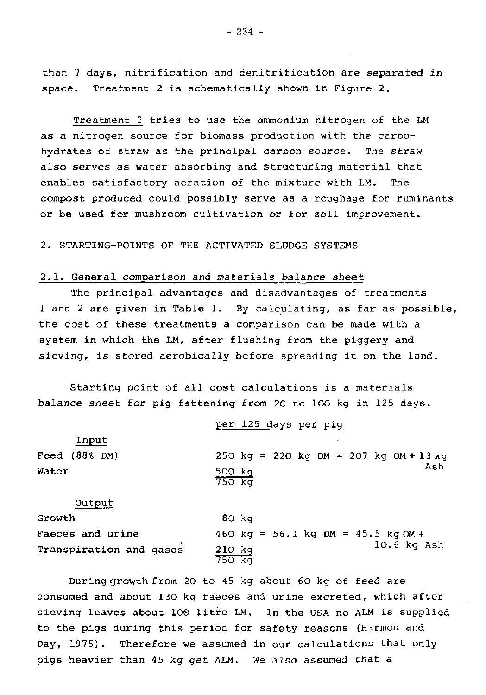than 7 days, nitrification and denitrification are separated in space. Treatment 2 is schematically shown in Figure 2.

Treatment 3 tries to use the ammonium nitrogen of the LM as a nitrogen source for biomass production with the carbohydrates of straw as the principal carbon source. The straw also serves as water absorbing and structuring material that enables satisfactory aeration of the mixture with LM. The compost produced could possibly serve as a roughage for ruminants or be used for mushroom cultivation or for soil improvement.

2. STARTING-POINTS OF THE ACTIVATED SLUDGE SYSTEMS

# 2.1. General comparison and materials *balance* sheet

The principal advantages and disadvantages of treatments 1 and 2 are given in Table 1. By calculating, as far as possible, the cost of these treatments a comparison can be made with a system in which the LM, after flushing from the piggery and sieving, is stored aerobically before spreading it on the land.

Starting point of all cost calculations is a materials balance sheet for pig fattening from 20 to 100 kg in 125 days.

|                         | per 125 days per pig                   |
|-------------------------|----------------------------------------|
| Input                   |                                        |
| Feed (88% DM)           | 250 kg = 220 kg DM = 207 kg OM + 13 kg |
| Water                   | Ash<br>500 kg<br>750 kg                |
| Output                  |                                        |
| Growth                  | 80 kg                                  |
| Faeces and urine        | 460 kg = $56.1$ kg DM = $45.5$ kg OM + |
| Transpiration and gases | $10.6$ kg Ash<br>$210$ $kg$<br>750 kg  |

During growth from 20 to 45 kg about 60 kg of feed are consumed and about 130 kg faeces and urine excreted, which after sieving leaves about 100 litre LM. In the USA no ALM is supplied to the pigs during this period for safety reasons (Harmon and Day, 1975). Therefore we assumed in our calculations that only pigs heavier than 45 kg get ALM. We also assumed that a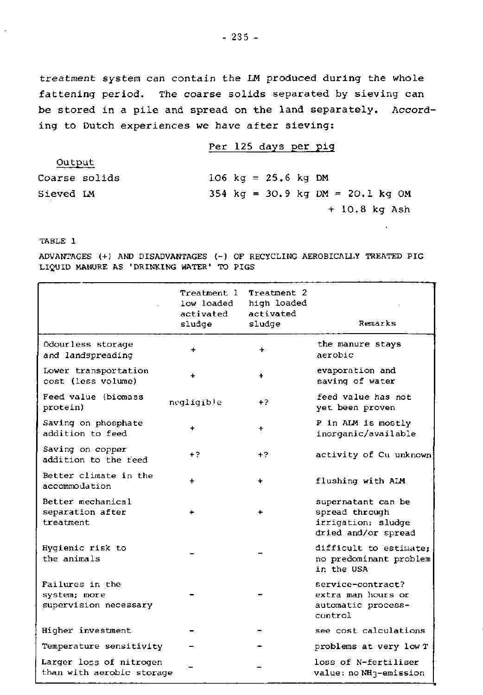treatment system can contain the LM produced during the whole fattening period. The coarse solids separated by sieving can be stored in a pile and spread on the land separately. According to Dutch experiences we have after sieving:

|               | Per 125 days per pig                   |
|---------------|----------------------------------------|
| Output        |                                        |
| Coarse solids | $106 \text{ kg} = 25.6 \text{ kg}$ DM  |
| Sieved IM     | $354$ kg = $30.9$ kg DM = $20.1$ kg OM |
|               | $+10.8$ kg Ash                         |

TABLE 1

ADVANTAGES (+) AND DISADVANTAGES (-) OF RECYCLING AEROBICALLY TREATED PIG LIQUID MANURE AS 'DRINKING WATER' TO PIGS

|                                                          | Treatment l<br>low loaded<br>activated<br>sludge | Treatment 2<br>high loaded<br>activated<br>sludge | Remarks                                                                           |
|----------------------------------------------------------|--------------------------------------------------|---------------------------------------------------|-----------------------------------------------------------------------------------|
| Odourless storage<br>and landspreading                   | $\ddot{}$                                        | ÷                                                 | the manure stays<br>aerobic                                                       |
| Lower transportation<br>cost (less volume)               |                                                  | ٠                                                 | evaporation and<br>saving of water                                                |
| Feed value (biomass<br>protein)                          | negligible                                       | +2                                                | feed value has not<br>yet been proven                                             |
| Saving on phosphate<br>addition to feed                  | ÷                                                | ÷                                                 | P in ALM is mostly<br>inorganic/available                                         |
| Saving on copper<br>addition to the reed                 | $+2$                                             | $+2$                                              | activity of Cu unknown                                                            |
| Better climate in the<br>accommodation                   |                                                  | ٠                                                 | flushing with ALM                                                                 |
| Better mechanical<br>separation after<br>treatment       |                                                  | ٠                                                 | supernatant can be<br>spread through<br>irrigation; sludge<br>dried and/or spread |
| Hygienic risk to<br>the animals                          |                                                  |                                                   | difficult to estimate:<br>no predominant problem<br>in the USA                    |
| Failures in the<br>system; more<br>supervision necessary |                                                  |                                                   | service-contract?<br>extra man hours or<br>automatic process-<br>control          |
| Higher investment                                        |                                                  |                                                   | see cost calculations                                                             |
| Temperature sensitivity                                  |                                                  |                                                   | problems at very low T                                                            |
| Larger loss of nitrogen<br>than with aerobic storage     |                                                  |                                                   | loss of N-fertiliser<br>value: no NH3-emission                                    |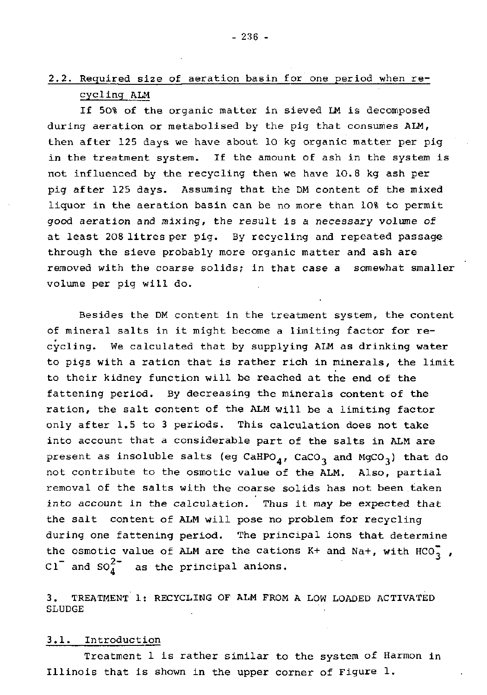If 50% of the organic matter in sieved LM is decomposed during aeration or metabolised by the pig that consumes ALM, then after 125 days we have about 10 kg organic matter per pig in the treatment system. If the amount of ash in the system is not influenced by the recycling then we have 10.8 kg ash per pig after 125 days. Assuming that the DM content of the mixed liquor in the aeration basin can be no more than 10% to permit good aeration and mixing, the result is a necessary volume of at least 208 litres per pig. By recycling and repeated passage through the sieve probably more organic matter and ash are removed with the coarse solids; in that case a somewhat smaller volume per pig will do.

Besides the DM content in the treatment system, the content of mineral salts in it might become a limiting factor for recycling. We calculated that by supplying ALM as drinking water to pigs with a ration that is rather rich in minerals, the limit to their kidney function will be reached at the end of the fattening period. By decreasing the minerals content of the ration, the salt content of the ALM will be a limiting factor only after 1.5 to 3 periods. This calculation does not take into account that a considerable part of the salts in ALM are present as insoluble salts (eg CaHPO<sub>4</sub>, CaCO<sub>3</sub> and MgCO<sub>3</sub>) that do not contribute to the osmotic value of the ALM. Also, partial removal of the salts with the coarse solids has not been taken into account in the calculation. Thus it may be expected that the salt content of ALM will pose no problem for recycling during one fattening period. The principal ions that determine the osmotic value of ALM are the cations K+ and Na+, with  $HCO_{3}^{+}$ ,  $-$  and SO<sup>2</sup>. CI and SO. as the principal anions.

3. TREATMENT 1: RECYCLING OF ALM FROM A LOW LOADED ACTIVATED SLUDGE

## 3.1. Introduction

Treatment 1 is rather similar to the system of Harmon in Illinois that is shown in the upper corner of Figure 1.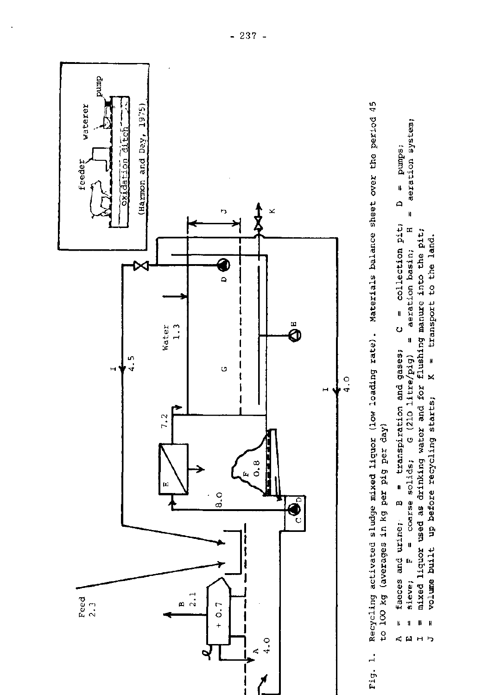

- er the period **> 0**  e<br>et  $\frac{1}{2}$ **balance m**  r H **cd** •H **n** CU **S**  $\frac{1}{2}$  $rate)$ . loading **> 0**  r-i **.—**> i **. id "0**  mixed liguor **p CU DJ**   $\frac{5}{9}$ per sludge **ages** in kg **Tl** CU **P cd** •**>** H **•u u** id **u** CU **>** id • — • **en c**  • H <u>م</u> <u>18</u> O > O CU **0 P**  Fig. 1.
- stem; م<br>و نق **S G 3 o Ol' H -p id il ri Cl)** 10 **a il P B c - 0 c** •H -H **P in u id eu X) w M c 0 0** Ü -H  $\frac{1}{6}$ **I l VI m id u II**  U**•^** ) ~ CD 0< Cfl -H • **•**P**\*** • • H T) **Q< G** م<br>و <del>1</del> **0 -P P e o** •H P ushing manure<br>= transport **(d a rH**  O i \ **ai •a M S -H** r H **= transpiration**<br>olide: *C* (210 U) **« ai en u**  *G*<br> $\frac{1}{2}$  **C 3 T) fe G id** faeces<br>**s**ievel **p** faeces<br>= sieve; **< w M H i ^**  $\mathbf{\ddot{s}}$  . )<br>art<br>art ri 01 **eu -P Oi id c S -ri** r H **Cu O**  •S& **X eu G (H** • H **(H ai Tl ri O**  ) I4H U **i d eu £1 Tl eu a,** g 3 **M -P 0 rH 3 -ri C 3 •H a** r-i **TI g eu 3 X rH •rf<sup>Q</sup>**s > **ii ii M in**

M

**p** 

**ai** 

 $\mathbf \alpha$ 

**R** 

 $-237 -$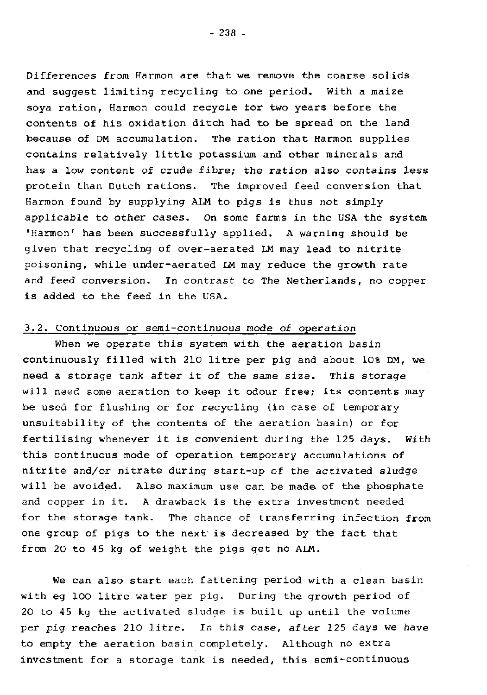Differences from Harmon are that we remove the coarse solids and suggest limiting recycling to one period. With a maize soya ration, Harmon could recycle for two years before the contents of his oxidation ditch had to be spread on the land because of DM accumulation. The ration that Harmon supplies contains relatively little potassium and other minerals and has a low content of crude fibre; the ration also contains less protein than Dutch rations. The improved feed conversion that Harmon found by supplying ALM to pigs is thus not simply applicable to other cases. On some farms in the USA the system 'Harmon' has been successfully applied. A warning should be given that recycling of over-aerated LM may lead to nitrite poisoning, while under-aerated LM may reduce the growth rate and feed conversion. In contrast to The Netherlands, no copper is added to the feed in the USA.

# 3.2. Continuous or semi-continuous mode of operation

When we operate this system with the aeration basin continuously filled with 210 litre per pig and about 10% DM, we need a storage tank after it of the same size. This storage will need some aeration to keep it odour free; its contents may be used for flushing or for recycling (in case of temporary unsuitability of the contents of the aeration basin) or for fertilising whenever it is convenient during the 125 days. With this continuous mode of operation temporary accumulations of nitrite and/or nitrate during start-up of the activated sludge will be avoided. Also maximum use can be made of the phosphate and copper in it. A drawback is the extra investment needed for the storage tank. The chance of transferring infection from one group of pigs to the next is decreased by the fact that from 20 to 45 kg of weight the pigs get no ALM.

We can also start each fattening period with a clean basin with eg 100 litre water per pig. During the growth period of 20 to 45 kg the activated sludge is built up until the volume per pig reaches 210 litre. In this case, after 125 days we have to empty the aeration basin completely. Although no extra investment for a storage tank is needed, this semi-continuous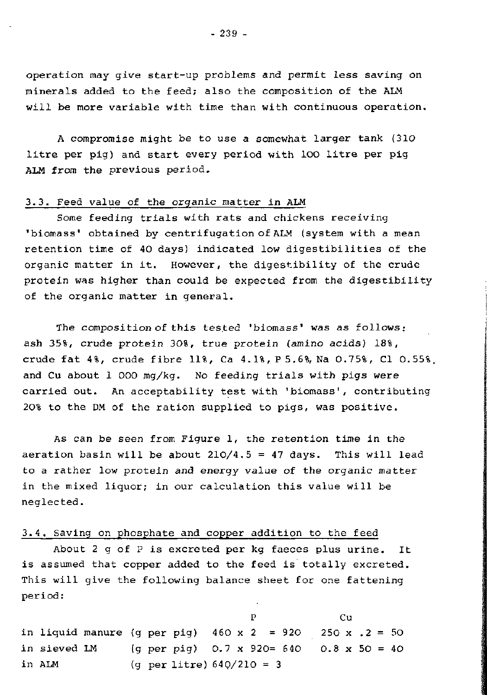Operation may give start-up problems and permit less saving on minerals added to the feed; also the composition of the ALM will be more variable with time than with continuous operation.

A compromise might be to use a somewhat larger tank (310 litre per pig) and start every period with 100 litre per pig ALM from the previous period.

# 3.3. Feed value of the organic matter in ALM

Some feeding trials with rats and chickens receiving 'biomass' obtained by centrifugation of ALM (system with a mean retention time of 40 days) indicated low digestibilities of the organic matter in it. However, the digestibility of the crude protein was higher than could be expected from the digestibility of the organic matter in general.

The composition of this tested 'biomass' was as follows: ash 35%, crude protein 30%, true protein (amino acids) 18%, crude fat 4%, crude fibre 11%, Ca 4.1%, P 5.6%, Na 0.75%, Cl 0.55%. and Cu about 1 000 mg/kg. No feeding trials with pigs were carried out. An acceptability test with 'biomass', contributing 20% to the DM of the ration supplied to pigs, was positive.

As can be seen from Figure 1, the retention time in the aeration basin will be about  $210/4.5 = 47$  days. This will lead to a rather low protein and energy value of the organic matter in the mixed liquor; in our calculation this value will be neglected.

## 3.4. Saving on phosphate and copper addition to the feed

About  $2 q$  of  $P$  is excreted per kg faeces plus urine. It is assumed that copper added to the feed is totally excreted. This will give the following balance sheet for one fattening period:

P C in liquid manure (g per pig)  $460 \times 2 = 920$  250 x .2 = 50 in sieved LM (g per pig) 0.7 x 920= 640 0.8 x 50 = 40 in ALM (g per litre) 640/210 = 3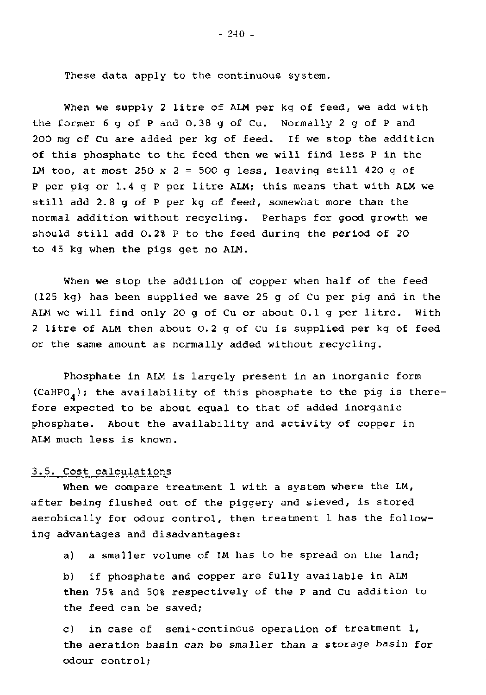These data apply to the continuous system.

When we supply 2 litre of ALM per kg of feed, we add with the former 6 g of P and 0.38 g of Cu. Normally 2 g of P and 200 mg of Cu are added per kg of feed. If we stop the addition of this phosphate to the feed then we will find less P in the LM too, at most 250 x 2 = 500 q less, leaving still 420 q of P per pig or 1.4 g P per litre ALM; this means that with ALM we still add 2.8 g of P per kg of feed, somewhat more than the normal addition without recycling. Perhaps for good growth we should still add 0.2% P to the feed during the period of 20 to 45 kg when the pigs get no ALM.

When we stop the addition of copper when half of the feed (125 kg) has been supplied we save 25 g of Cu per pig and in the ALM we will find only 20 g of Cu or about 0.1 g per litre. With 2 litre of ALM then about 0.2 g of Cu is supplied per kg of feed or the same amount as normally added without recycling.

Phosphate in ALM is largely present in an inorganic form (CaHPO<sub>4</sub>); the availability of this phosphate to the pig is therefore expected to be about equal to that of added inorganic phosphate. About the availability and activity of copper in ALM much less is known.

## 3.5. Cost calculations

When we compare treatment 1 with a system where the LM, after being flushed out of the piggery and sieved, is stored aerobically for odour control, then treatment 1 has the following advantages and disadvantages:

a) a smaller volume of LM has to be spread on the land;

b) if phosphate and copper are fully available in ALM then 75% and 50% respectively of the P and Cu addition to the feed can be saved;

c) in case of semi-continous operation of treatment 1, the aeration basin can be smaller than a storage basin for odour control;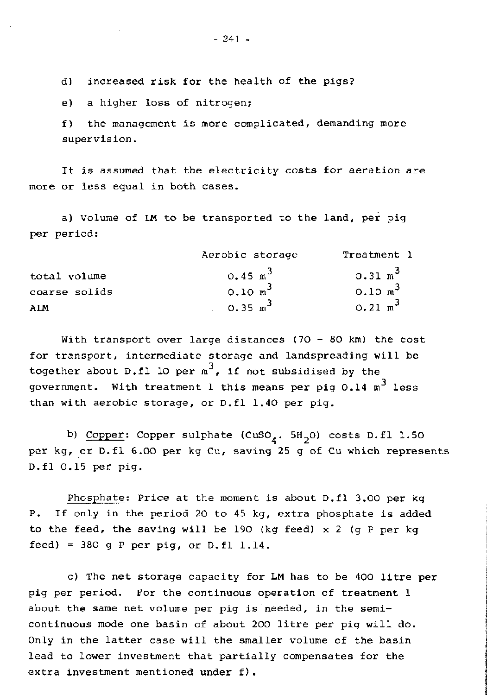d) increased risk for the health of the pigs?

e) a higher loss of nitrogen;

f) the management is more complicated, demanding more supervision.

It is assumed that the electricity costs for aeration are more or less equal in both cases.

a) Volume of LM to be transported to the land, per pig per period:

|               | Aerobic storage    | Treatment 1        |  |
|---------------|--------------------|--------------------|--|
| total volume  | $0.45 \text{ m}^3$ | $0.31 \text{ m}^3$ |  |
| coarse solids | $0.10 \text{ m}^3$ | $0.10 \text{ m}^3$ |  |
| ALM           | $0.35 \text{ m}^3$ | $0.21 \text{ m}^3$ |  |

With transport over large distances (70 - 80 km) the cost for transport, intermediate storage and landspreading will be together about D.fl 10 per  $m^3$ , if not subsidi government. With treatment 1 this means per pig 0.14  $m^3$  less than with aerobic storage, or D.fl 1.40 per pig.

b) Copper: Copper sulphate (CuSO<sub> $_A$ </sub>. 5H<sub>2</sub>O) costs D.fl 1.50 per kg, or D.fl 6.00 per kg Cu, saving 25 g of Cu which represents D.fl 0.15 per pig.

Phosphate: Price at the moment is about D.fl 3.00 per kg P. If only in the period 20 to 45 kg, extra phosphate is added to the feed, the saving will be 190 (kg feed) x 2 (g P per kg feed) = 380 q P per pig, or  $D$ .fl  $1.14$ .

c) The net storage capacity for LM has to be 400 litre per pig per period. For the continuous operation of treatment 1 about the same net volume per pig is needed, in the semicontinuous mode one basin of about 200 litre per pig will do. Only in the latter case will the smaller volume of the basin lead to lower investment that partially compensates for the extra investment mentioned under  $f$ ).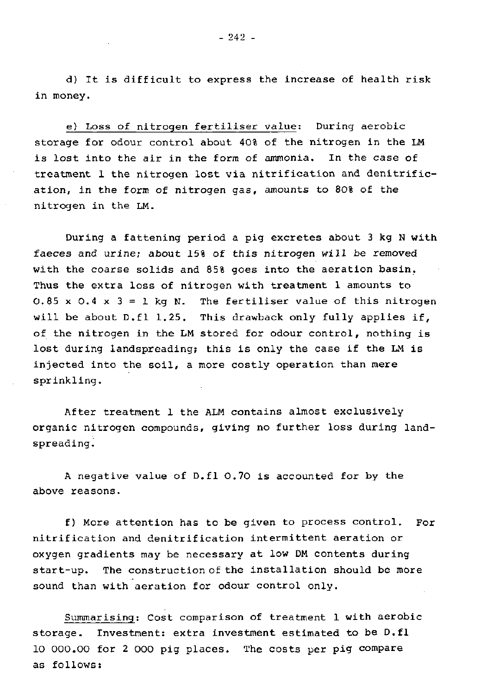d) It is difficult to express the increase of health risk in money.

e) Loss of nitrogen fertiliser value: During aerobic storage for odour control about 40% of the nitrogen in the LM is lost into the air in the form of ammonia. In the case of treatment 1 the nitrogen lost via nitrification and denitrification, in the form of nitrogen gas, amounts to 80% of the nitrogen in the LM.

During a fattening period a pig excretes about 3 kg N with faeces and urine; about 15% of this nitrogen will be removed with the coarse solids and 85% goes into the aeration basin. Thus the extra loss of nitrogen with treatment 1 amounts to 0.85 x 0.4 x 3 = 1 kg N. The fertiliser value of this nitrogen will be about D.fl 1.25. This drawback only fully applies if, of the nitrogen in the LM stored for odour control, nothing is lost during landspreading; this is only the case if the LM is injected into the soil, a more costly operation than mere sprinkling.

After treatment 1 the ALM contains almost exclusively organic nitrogen compounds, giving no further loss during landspreading.

A negative value of D.fl 0.70 is accounted for by the above reasons.

f) More attention has to be given to process control. For nitrification and denitrification intermittent aeration or oxygen gradients may be necessary at low DM contents during start-up. The construction of the installation should be more sound than with aeration for odour control only.

Summarising: Cost comparison of treatment 1 with aerobic storage. Investment: extra investment estimated to be D.fl 10 000.00 for 2 000 pig places. The costs per pig compare as follows: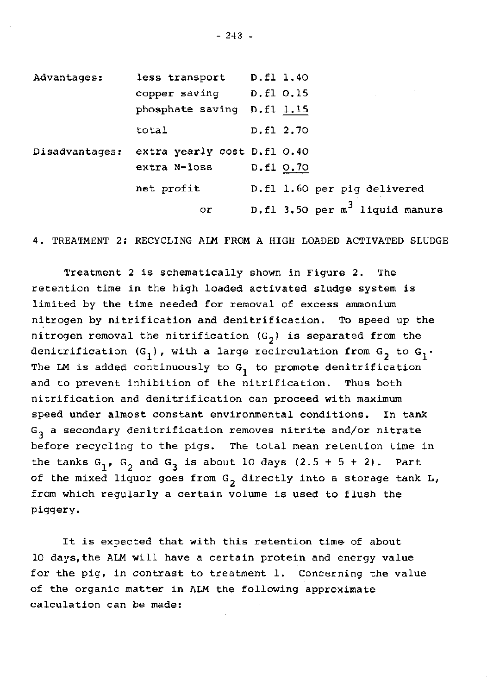| Advantages:    | less transport              | D.fl 1.40                         |
|----------------|-----------------------------|-----------------------------------|
|                | copper saving               | D.fl 0.15                         |
|                | phosphate saving D.fl 1.15  |                                   |
|                | total                       | D.fl 2.70                         |
| Disadvantages: | extra yearly cost D.fl 0.40 |                                   |
|                | extra N-loss                | D.fl 0.70                         |
|                | net profit                  | D.fl 1.60 per pig delivered       |
|                | or                          | D.fl 3.50 per $m^3$ liquid manure |

4. TREATMENT 2; RECYCLING ALM FROM A HIGH LOADED ACTIVATED SLUDGE

Treatment 2 is schematically shown in Figure 2. The retention time in the high loaded activated sludge system is limited by the time needed for removal of excess ammonium nitrogen by nitrification and denitrification. To speed up the nitrogen removal the nitrification  $(G_2)$  is separated from the denitrification  $(G_1)$ , with a large recirculation from  $G_2$  to  $G_1$ . The LM is added continuously to  $G_1$  to promote denitrification and to prevent inhibition of the nitrification. Thus both nitrification and denitrification can proceed with maximum speed under almost constant environmental conditions. In tank  $G_3$  a secondary denitrification removes nitrite and/or nitrate before recycling to the pigs. The total mean retention time in the tanks  $G_1$ ,  $G_2$  and  $G_3$  is about 10 days (2.5 + 5 + 2). Part of the mixed liquor goes from  $G_2$  directly into a storage tank L, from which regularly a certain volume is used to flush the piggery.

It is expected that with this retention time of about 10 days,the ALM will have a certain protein and energy value for the pig, in contrast to treatment 1. Concerning the value of the organic matter in ALM the following approximate calculation can be made: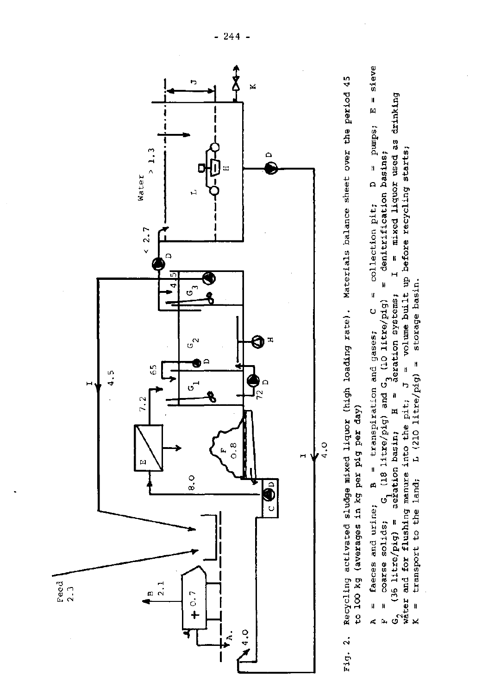



sieve II **m « &** a •» **m**  e II - H U) co Q<sup>A</sup> ع<br>- - $\frac{1}{2}$ llection p<br>denitrific • • (1 r r 0 Ü : C =<br>re/pig) =<br>systems;<br>e built u<br>e built u drinking used as<br>tarts: m liquor<br>ding 1 S nixed<br>"a xa -<br>Defor M ਉ <u>.</u><br>. , • — PU ) 01 r H rd B -H £1 ases;<br>Titr o c<br>-**•a —**  c c ິຕ<br>ທີ່ on sys<br>olume<br>storac • H > العالم<br>أن التالي<br>أن التالي d o b a iration<br>c) and ransp<br>re/oi  $\frac{1}{18}$  ii<br>H  $\frac{81}{11}$ B = transpiration<br>(18 litre/pig) and G<br>tion basin; H =<br>ure into the pit; J<br>a. T. (200 litre/bi OA 7 .<br>با تا <del>با</del>  $\frac{a}{b}$  asin;<br>to the<br>(210  $\ddot{a}$  $\frac{4}{1}$   $\frac{1}{2}$ g) = aer̃atio<br>ushing manure<br>to the land. ຫົ aeration basin; e<br>1 ne H •« M 10 D -O • H TJ rH A = faeces an<br>r = corse so ) (0 ۔<br>1 جو<br>1  $\mathbf{p}$  we then litre/<br>d for<br>annoys ن a تا  $^\circ$  : - يوم<br>م <del>آ</del>لان<br>م عد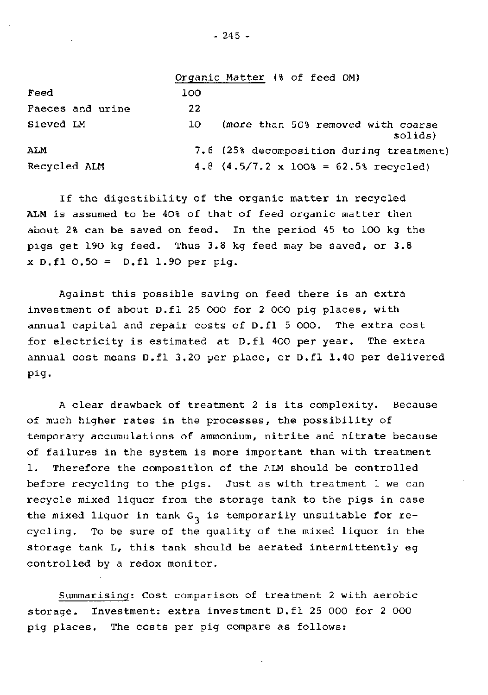|                  |     | Organic Matter (% of feed OM)                          |
|------------------|-----|--------------------------------------------------------|
| Feed             | 100 |                                                        |
| Faeces and urine | 22  |                                                        |
| Sieved LM        | 10  | (more than 50% removed with coarse<br>solids)          |
| ALM              |     | 7.6 (25% decomposition during treatment)               |
| Recycled ALM     |     | 4.8 $(4.5/7.2 \times 100\% = 62.5\% \text{ received})$ |

If the digestibility of the organic matter in recycled ALM is assumed to be 40% of that of feed organic matter then about 2% can be saved on feed. In the period 45 to 100 kg the pigs get 190 kg feed. Thus 3.8 kg feed may be saved, or 3.8 x D.fl 0.50 = D.fl 1.90 per pig.

Against this possible saving on feed there is an extra investment of about D.fl 25 000 for 2 000 pig places, with annual capital and repair costs of D.fl 5 000. The extra cost for electricity is estimated at D.fl 400 per year. The extra annual cost means D.fl 3.20 per place, or D.fl 1.40 per delivered pig.

A clear drawback of treatment 2 is its complexity. Because of much higher rates in the processes, the possibility of temporary accumulations of ammonium, nitrite and nitrate because of failures in the system is more important than with treatment 1. Therefore the composition of the ALM should be controlled before recycling to the pigs. Just as with treatment 1 we can recycle mixed liquor from the storage tank to the pigs in case the mixed liquor in tank  $G_3$  is temporarily unsuitable for recycling. To be sure of the quality of the mixed liquor in the storage tank L, this tank should be aerated intermittently eg controlled by a redox monitor.

Summarising: Cost comparison of treatment 2 with aerobic storage. Investment: extra investment D.fl 25 000 for 2 000 pig places. The costs per pig compare as follows: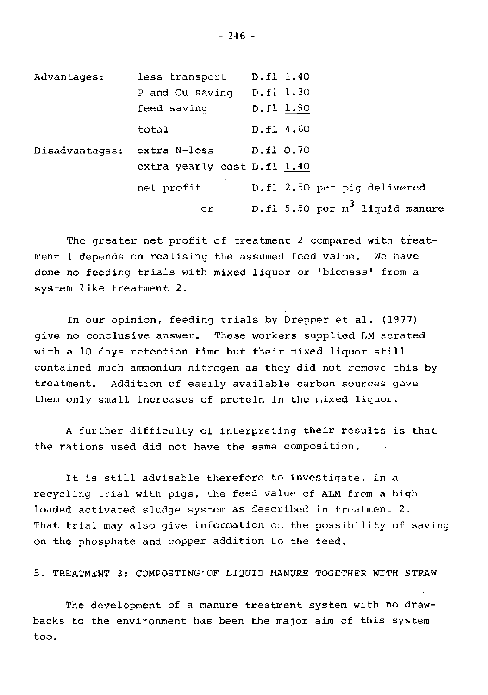| Advantages:    | less transport              | D.fl 1.40                         |
|----------------|-----------------------------|-----------------------------------|
|                | P and Cu saving             | D.fl 1.30                         |
|                | feed saving                 | D.fl 1.90                         |
|                | total                       | D.fl 4.60                         |
| Disadvantages: | extra N-loss                | D.fl 0.70                         |
|                | extra yearly cost D.fl 1.40 |                                   |
|                | net profit                  | D.fl 2.50 per pig delivered       |
|                | or                          | D.fl 5.50 per $m^3$ liquid manure |

The greater net profit of treatment 2 compared with treatment 1 depends on realising the assumed feed value. We have done no feeding trials with mixed liquor or 'biomass' from a system like treatment 2.

In our opinion, feeding trials by Drepper et al. (1977) give no conclusive answer. These workers supplied LM aerated with a 10 days retention time but their mixed liquor still contained much ammonium nitrogen as they did not remove this by treatment. Addition of easily available carbon sources gave them only small increases of protein in the mixed liquor.

A further difficulty of interpreting their results is that the rations used did not have the same composition.

It is still advisable therefore to investigate, in a recycling trial with pigs, the feed value of ALM from a high loaded activated sludge system as described in treatment 2. That trial may also give information on the possibility of saving on the phosphate and copper addition to the feed.

5. TREATMENT 3: COMPOSTING'OF LIQUID MANURE TOGETHER WITH STRAW

The development of a manure treatment system with no drawbacks to the environment has been the major aim of this system too.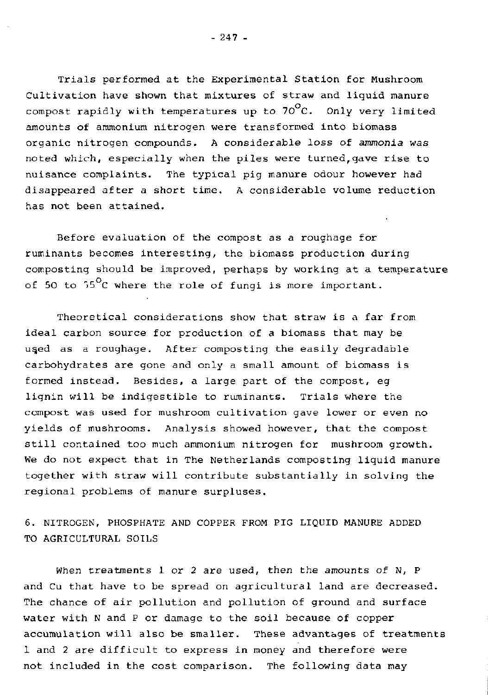Trials performed at the Experimental Station for Mushroom Cultivation have shown that mixtures of straw and liquid manure compost rapidly with temperatures up to  $70^{\circ}$ C. Only very limited amounts of ammonium nitrogen were transformed into biomass organic nitrogen compounds. A considerable loss of *ammonia was*  noted which, especially when the piles were turned,gave rise to nuisance complaints. The typical pig manure odour however had disappeared after a short time. A considerable volume reduction has not been attained.

Before evaluation of the compost as a roughage for ruminants becomes interesting, the biomass production during composting should be improved, perhaps by working at a temperature of 50 to  $55^{\circ}$ C where the role of fungi is more important.

Theoretical considerations show that straw is a far from ideal carbon source for production of a biomass that may be used as a roughage. After composting the easily degradable carbohydrates are gone and only a small amount of biomass is formed instead. Besides, a large part of the compost, eg lignin will be indigestible to ruminants. Trials where the compost was used for mushroom cultivation gave lower or even no yields of mushrooms. Analysis showed however, that the compost still contained too much ammonium nitrogen for mushroom growth. We do not expect that in The Netherlands composting liquid manure together with straw will contribute substantially in solving the regional problems of manure surpluses.

6. NITROGEN, PHOSPHATE AND COPPER FROM PIG LIQUID MANURE ADDED TO AGRICULTURAL SOILS

When treatments 1 or 2 are used, then the amounts of N, P and Cu that have to be spread on agricultural land are decreased. The chance of air pollution and pollution of ground and surface water with N and P or damage to the soil because of copper accumulation will also be smaller. These advantages of treatments 1 and 2 are difficult to express in money and therefore were not included in the cost comparison. The following data may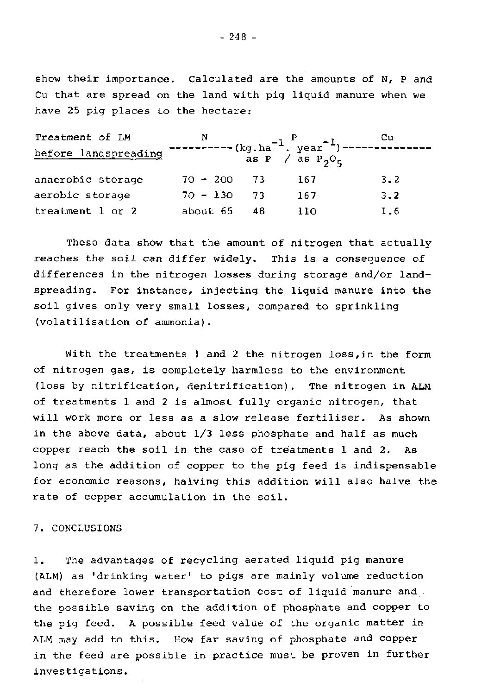show their importance. Calculated are the amounts of N, P and Cu that are spread on the land with pig liquid manure when we have 25 pig places to the hectare:

| Treatment of LM      | N             |     |                                                                                                                     | Сu  |
|----------------------|---------------|-----|---------------------------------------------------------------------------------------------------------------------|-----|
| before landspreading |               |     | $\frac{1}{1}$<br>-----(kg.ha <sup>-1</sup> .year <sup>-1</sup> )--------<br>as P / as P <sub>2</sub> O <sub>5</sub> |     |
| anaerobic storage    | $70 - 200$ 73 |     | 167                                                                                                                 | 3.2 |
| aerobic storage      | 70 - 130      | -73 | 167                                                                                                                 | 3.2 |
| treatment 1 or 2     | about 65      | 48  | 110                                                                                                                 | 1.6 |

These data show that the amount of nitrogen that actually reaches the soil can differ widely. This is a consequence of differences in the nitrogen losses during storage and/or landspreading. For instance, injecting the liquid manure into the soil gives only very small losses, compared to sprinkling (volatilisation of ammonia).

With the treatments 1 and 2 the nitrogen loss,in the form of nitrogen gas, is completely harmless to the environment (loss by nitrification, denitrification). The nitrogen in ALM of treatments 1 and 2 is almost fully organic nitrogen, that will work more or less as a slow release fertiliser. As shown in the above data, about 1/3 less phosphate and half as much copper reach the soil in the case of treatments  $l$  and  $2$ . As long as the addition of copper to the pig feed is indispensable for economic reasons, halving this addition will also halve the rate of copper accumulation in the soil.

### 7. CONCLUSIONS

1. The advantages of recycling aerated liquid pig manure (ALM) as 'drinking water' to pigs are mainly volume reduction and therefore lower transportation cost of liquid manure and the possible saving on the addition of phosphate and copper to the pig feed. A possible feed value of the organic matter in ALM may add to this. How far saving of phosphate and copper in the feed are possible in practice must be proven in further investigations.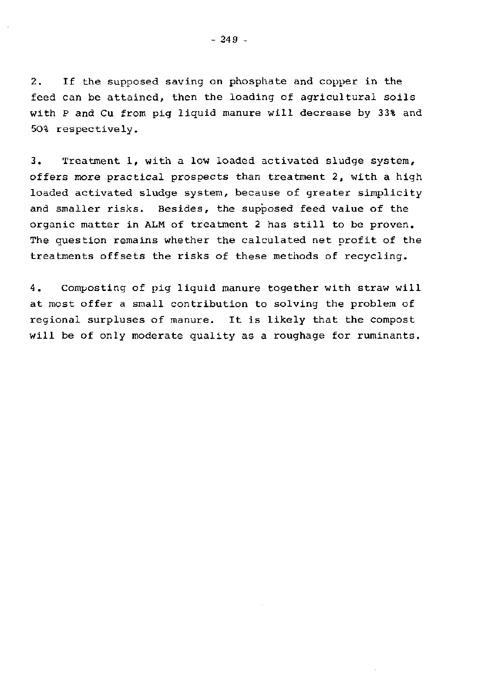2. If the supposed saving on phosphate and copper in the feed can be attained, then the loading of agricultural soils with P and Cu from pig liquid manure will decrease by 33% and 50% respectively.

3. Treatment 1, with a low loaded activated sludge system, offers more practical prospects than treatment 2, with a high loaded activated sludge system, because of greater simplicity and smaller risks. Besides, the supposed feed value of the organic matter in ALM of treatment 2 has still to be proven. The question remains whether the calculated net profit of the treatments offsets the risks of these methods of recycling.

4. Composting of pig liquid manure together with straw will at most offer a small contribution to solving the problem of regional surpluses of manure. It is likely that the compost will be of only moderate quality as a roughage for ruminants.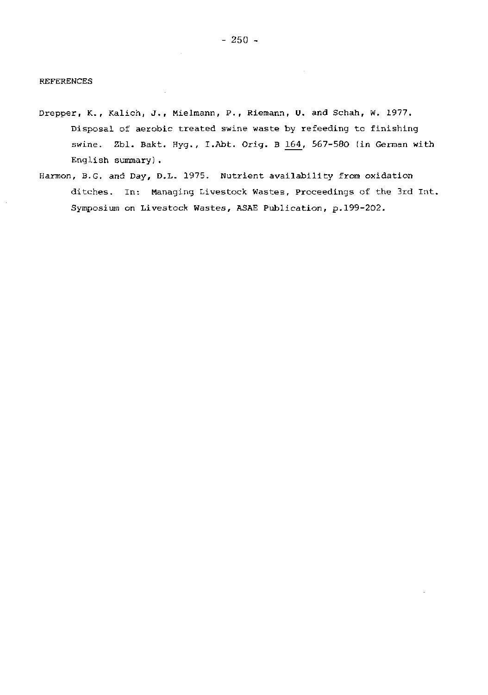#### REFERENCES

- Drepper, K., Kalich, J., Mielmann, P., Riemann, U. and Schah, W. 1977. Disposal of aerobic treated swine waste by refeeding to finishing swine. Zbl. Bakt. Hyg., I.Abt. Orig. B 164, 567-580 (in German with English summary).
- Harmon, B.G. and Day, D.L. 1975. Nutrient availability from oxidation ditches. In: Managing Livestock Wastes, Proceedings of the 3rd Int. Symposium on Livestock Wastes, ASAE Publication, p.199-202.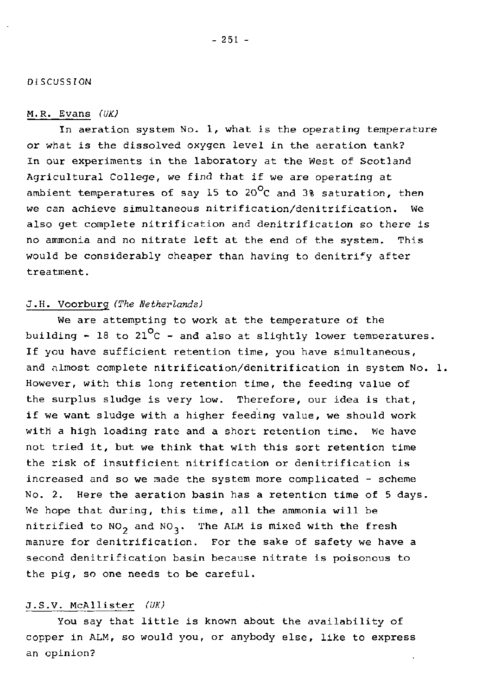## DISCUSSION

# M.R. Evans *(UK)*

In aeration system No. 1, what is the operating temperature or what is the dissolved oxygen level in the aeration tank? In our experiments in the laboratory at the West of Scotland Agricultural College, we find that if we are operating at ambient temperatures of say 15 to 20 $^{\circ}$ C and 3% saturation, then we can achieve simultaneous nitrification/denitrification. We also get complete nitrification and denitrification so there is no ammonia and no nitrate left at the end of the system. This would be considerably cheaper than having to denitrify after treatment.

# J.H. Voorburg *(The Netherlands)*

We are attempting to work at the temperature of the building  $\sim$  18 to 21<sup>o</sup>C - and also at slightly lower temperatures. If you have sufficient retention time, you have simultaneous, and almost complete nitrification/denitrification in system No. 1. However, with this long retention time, the feeding value of the surplus sludge is very low. Therefore, our idea is that, if we want sludge with a higher feeding value, we should work with a high loading rate and a short retention time. We have not tried it, but we think that with this sort retention time the risk of insufficient nitrification or denitrification is increased and so we made the system more complicated - scheme No. 2. Here the aeration basin has a retention time of 5 days. We hope that during, this time, all the ammonia will be nitrified to  $NO_2$  and  $NO_3$ . The ALM is mixed with the fresh manure for denitrification. For the sake of safety we have a second denitrification basin because nitrate is poisonous to the pig, so one needs to be careful.

## J.S.V. McAllister *(UK)*

You say that little is known about the availability of copper in ALM, so would you, or anybody else, like to express an opinion?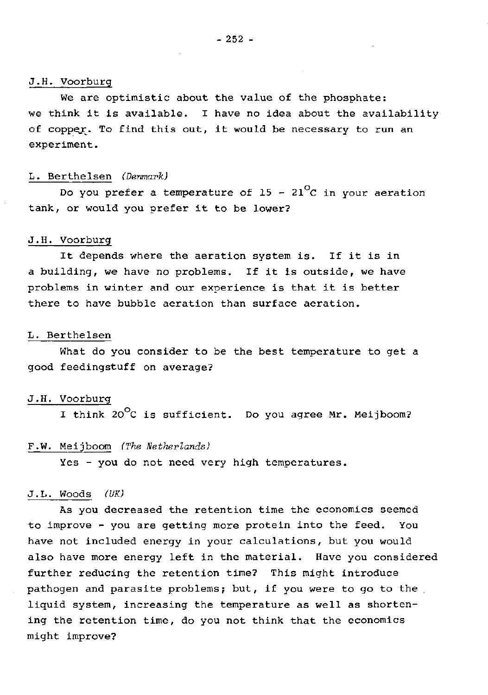## J.H. Voorburg

We are optimistic about the value of the phosphate: we think it is available. I have no idea about the availability of copper. To find this out, it would be necessary to run an experiment.

## L. Berthelsen *(Denmark)*

Do you prefer a temperature of 15 - 21<sup>°</sup>C in your aeration tank, or would you prefer it to be lower?

# J.H. Voorburg

It depends where the aeration system is. If it is in a building, we have no problems. If it is outside, we have problems in winter and our experience is that it is better there to have bubble aeration than surface aeration.

#### L. Berthelsen

What do you consider to be the best temperature to get a good feedingstuff on average?

#### J.H. Voorburg

I think  $20^{\circ}$ C is sufficient. Do you agree Mr. Meijboom?

## F.W. Meijboom *(The Netherlands)*

Yes - you do not need very high temperatures.

#### J.L. Woods *(UK)*

As you decreased the retention time the economics seemed to improve - you are getting more protein into the feed. You have not included energy in your calculations, but you would also have more energy left in the material. Have you considered further reducing the retention time? This might introduce pathogen and parasite problems; but, if you were to go to the liquid system, increasing the temperature as well as shortening the retention time, do you not think that the economics might improve?